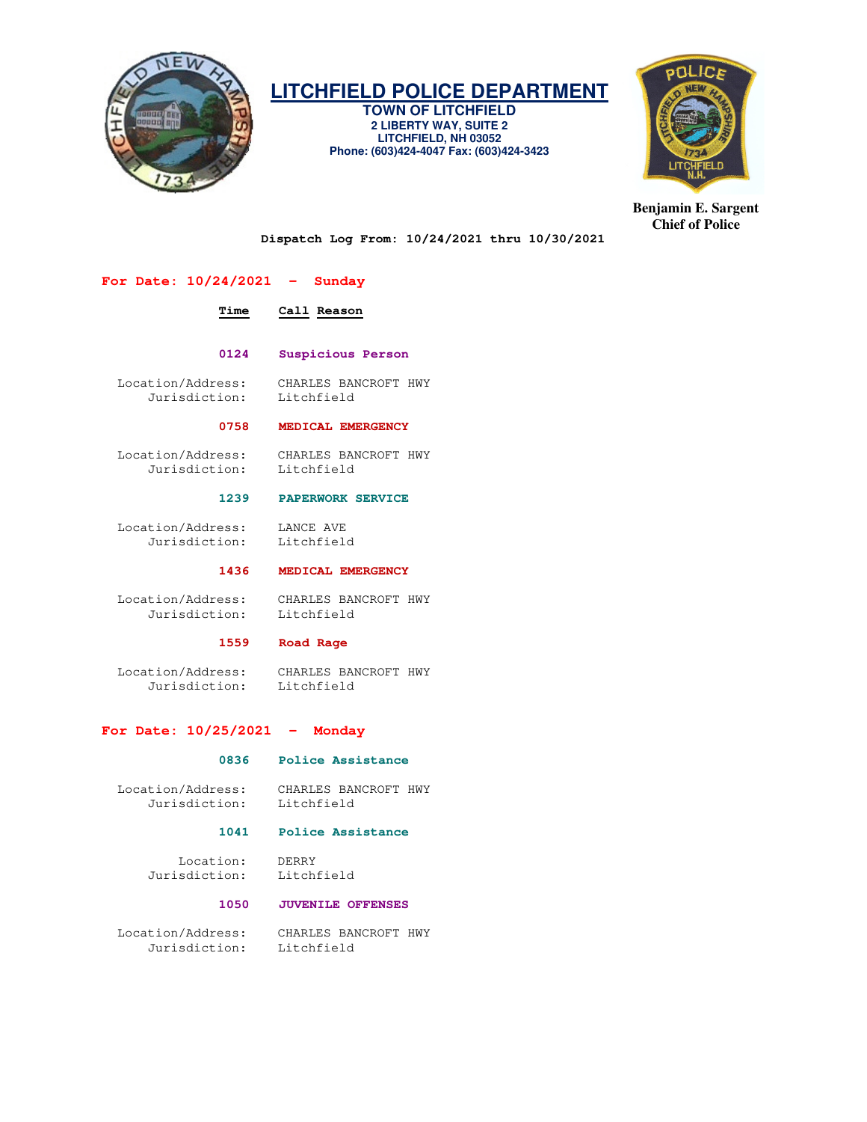

# **LITCHFIELD POLICE DEPARTMENT**

**TOWN OF LITCHFIELD 2 LIBERTY WAY, SUITE 2 LITCHFIELD, NH 03052 Phone: (603)424-4047 Fax: (603)424-3423** 



**Benjamin E. Sargent Chief of Police** 

**Dispatch Log From: 10/24/2021 thru 10/30/2021** 

# **For Date: 10/24/2021 - Sunday**

# **Time Call Reason 0124 Suspicious Person**  Location/Address: CHARLES BANCROFT HWY Jurisdiction: Litchfield  **0758 MEDICAL EMERGENCY**  Location/Address: CHARLES BANCROFT HWY Jurisdiction: Litchfield

# **1239 PAPERWORK SERVICE**

 Location/Address: LANCE AVE Jurisdiction: Litchfield

# **1436 MEDICAL EMERGENCY**

 Location/Address: CHARLES BANCROFT HWY Jurisdiction: Litchfield

#### **1559 Road Rage**

 Location/Address: CHARLES BANCROFT HWY Jurisdiction: Litchfield

# **For Date: 10/25/2021 - Monday**

#### **0836 Police Assistance**

 Location/Address: CHARLES BANCROFT HWY Jurisdiction: Litchfield

### **1041 Police Assistance**

 Location: DERRY Jurisdiction: Litchfield

# **1050 JUVENILE OFFENSES**

 Location/Address: CHARLES BANCROFT HWY Jurisdiction: Litchfield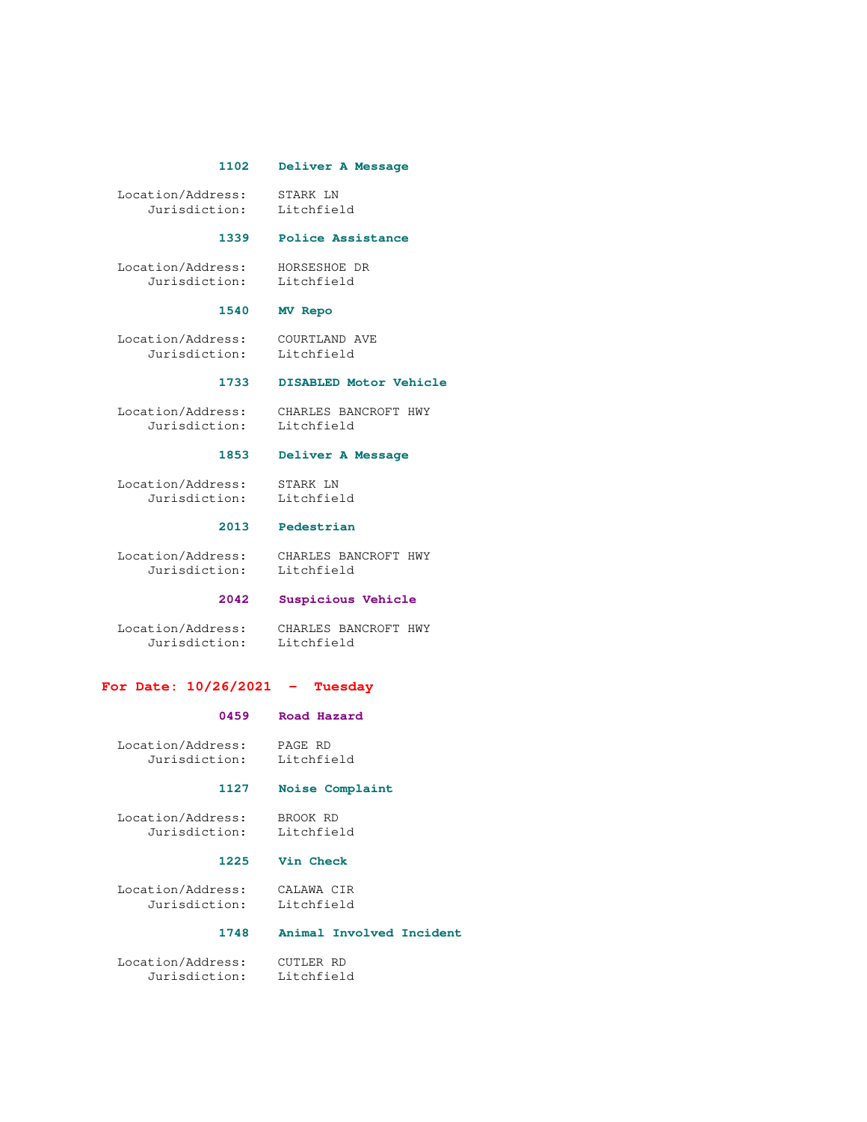### **1102 Deliver A Message**

 Location/Address: STARK LN Jurisdiction: Litchfield

# **1339 Police Assistance**

 Location/Address: HORSESHOE DR Jurisdiction: Litchfield

### **1540 MV Repo**

 Location/Address: COURTLAND AVE Jurisdiction: Litchfield

# **1733 DISABLED Motor Vehicle**

 Location/Address: CHARLES BANCROFT HWY Jurisdiction: Litchfield

# **1853 Deliver A Message**

 Location/Address: STARK LN Jurisdiction: Litchfield

### **2013 Pedestrian**

 Location/Address: CHARLES BANCROFT HWY Jurisdiction: Litchfield

# **2042 Suspicious Vehicle**

 Location/Address: CHARLES BANCROFT HWY Jurisdiction: Litchfield

# **For Date: 10/26/2021 - Tuesday**

# **0459 Road Hazard**

| Location/Address: | PAGE RD    |
|-------------------|------------|
| Jurisdiction:     | Litchfield |

#### **1127 Noise Complaint**

 Location/Address: BROOK RD Jurisdiction: Litchfield

# **1225 Vin Check**

 Location/Address: CALAWA CIR Jurisdiction: Litchfield

# **1748 Animal Involved Incident**

 Location/Address: CUTLER RD Jurisdiction: Litchfield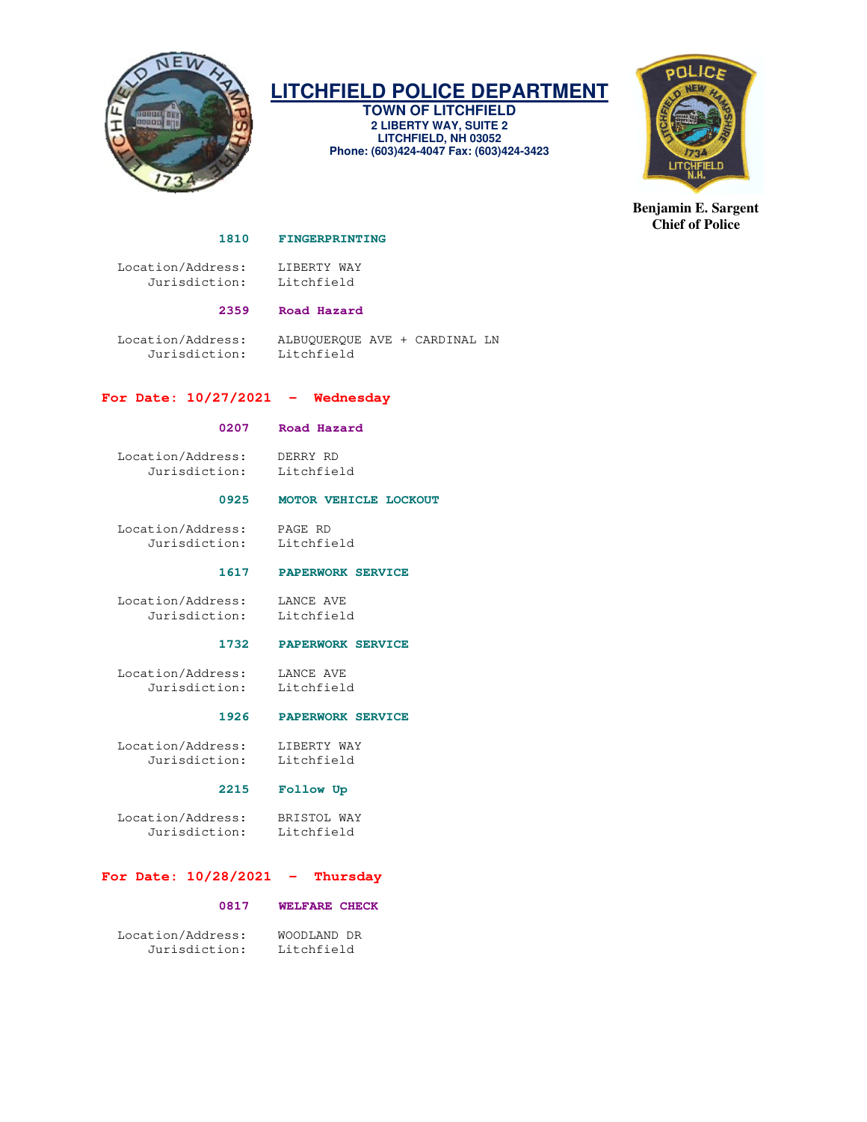

# **LITCHFIELD POLICE DEPARTMENT**

**TOWN OF LITCHFIELD 2 LIBERTY WAY, SUITE 2 LITCHFIELD, NH 03052 Phone: (603)424-4047 Fax: (603)424-3423** 



**Benjamin E. Sargent Chief of Police** 

#### **1810 FINGERPRINTING**

 Location/Address: LIBERTY WAY Jurisdiction: Litchfield

# **2359 Road Hazard**

 Location/Address: ALBUQUERQUE AVE + CARDINAL LN Jurisdiction: Litchfield

# **For Date: 10/27/2021 - Wednesday**

# **0207 Road Hazard**

 Location/Address: DERRY RD Jurisdiction: Litchfield

# **0925 MOTOR VEHICLE LOCKOUT**

 Location/Address: PAGE RD Jurisdiction: Litchfield

#### **1617 PAPERWORK SERVICE**

 Location/Address: LANCE AVE Jurisdiction: Litchfield

# **1732 PAPERWORK SERVICE**

 Location/Address: LANCE AVE Jurisdiction: Litchfield

# **1926 PAPERWORK SERVICE**

 Location/Address: LIBERTY WAY Jurisdiction: Litchfield

# **2215 Follow Up**

 Location/Address: BRISTOL WAY Jurisdiction: Litchfield

# **For Date: 10/28/2021 - Thursday**

# **0817 WELFARE CHECK**

| Location/Address: | WOODLAND DR |
|-------------------|-------------|
| Jurisdiction:     | Litchfield  |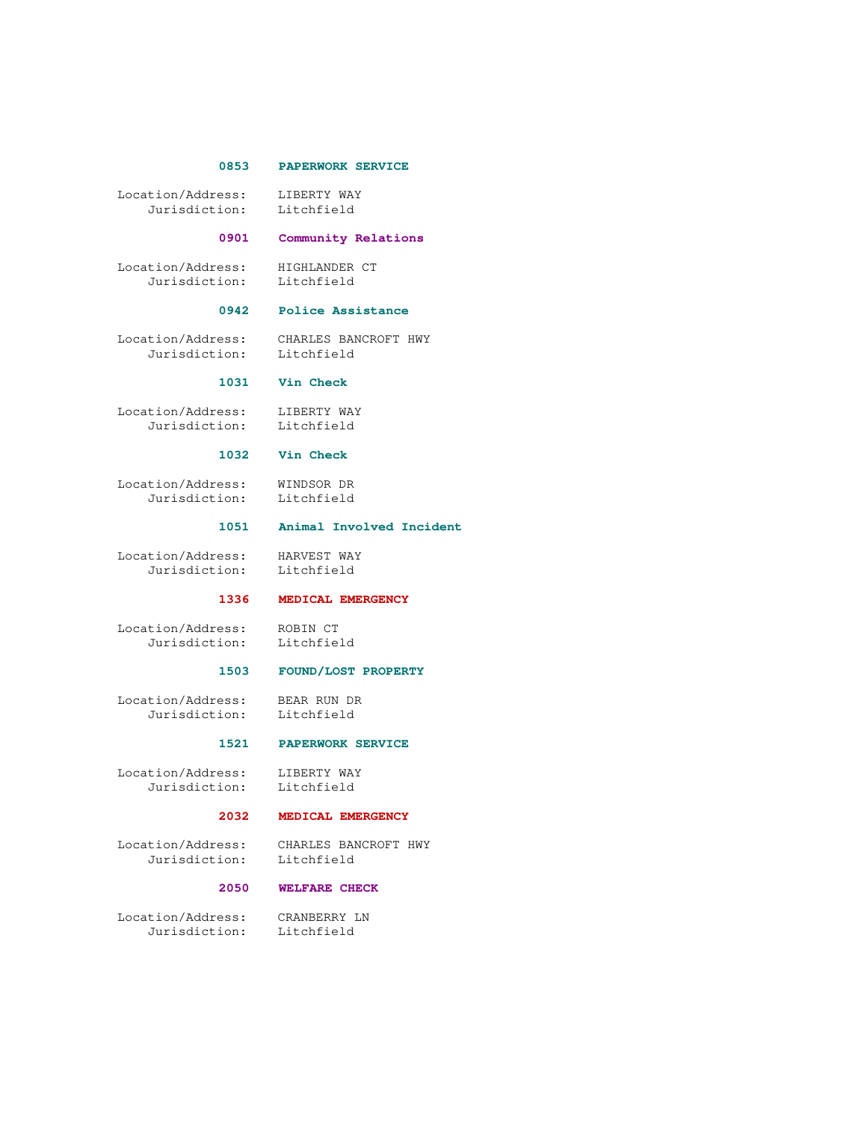#### **0853 PAPERWORK SERVICE**

 Location/Address: LIBERTY WAY Jurisdiction: Litchfield

#### **0901 Community Relations**

 Location/Address: HIGHLANDER CT Jurisdiction: Litchfield

#### **0942 Police Assistance**

 Location/Address: CHARLES BANCROFT HWY Jurisdiction: Litchfield

# **1031 Vin Check**

 Location/Address: LIBERTY WAY Jurisdiction: Litchfield

#### **1032 Vin Check**

 Location/Address: WINDSOR DR Jurisdiction: Litchfield

 **1051 Animal Involved Incident** 

 Location/Address: HARVEST WAY Jurisdiction: Litchfield

# **1336 MEDICAL EMERGENCY**

 Location/Address: ROBIN CT dion/Address. ......<br>Jurisdiction: Litchfield

### **1503 FOUND/LOST PROPERTY**

 Location/Address: BEAR RUN DR Jurisdiction: Litchfield

#### **1521 PAPERWORK SERVICE**

Location/Address: LIBERTY WAY<br>Jurisdiction: Litchfield Jurisdiction:

# **2032 MEDICAL EMERGENCY**

Location/Address: CHARLES BANCROFT HWY<br>Jurisdiction: Litchfield Jurisdiction:

# **2050 WELFARE CHECK**

 Location/Address: CRANBERRY LN Jurisdiction: Litchfield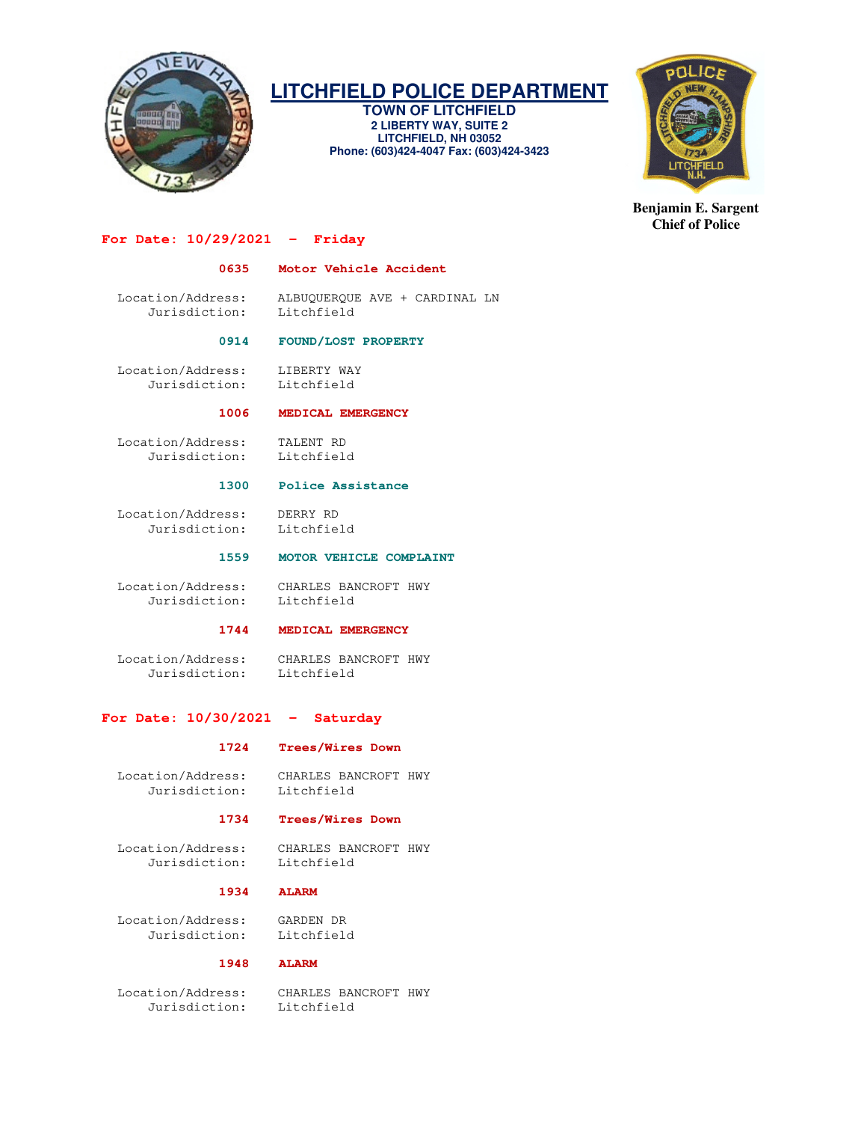

# **LITCHFIELD POLICE DEPARTMENT**

**TOWN OF LITCHFIELD 2 LIBERTY WAY, SUITE 2 LITCHFIELD, NH 03052 Phone: (603)424-4047 Fax: (603)424-3423** 



**Benjamin E. Sargent Chief of Police** 

# **For Date: 10/29/2021 - Friday**

# **0635 Motor Vehicle Accident**

 Location/Address: ALBUQUERQUE AVE + CARDINAL LN Jurisdiction: Litchfield

# **0914 FOUND/LOST PROPERTY**

 Location/Address: LIBERTY WAY Jurisdiction: Litchfield

 **1006 MEDICAL EMERGENCY** 

 Location/Address: TALENT RD Jurisdiction: Litchfield

#### **1300 Police Assistance**

 Location/Address: DERRY RD Jurisdiction: Litchfield

# **1559 MOTOR VEHICLE COMPLAINT**

 Location/Address: CHARLES BANCROFT HWY Jurisdiction: Litchfield

# **1744 MEDICAL EMERGENCY**

 Location/Address: CHARLES BANCROFT HWY Jurisdiction: Litchfield

# **For Date: 10/30/2021 - Saturday**

#### **1724 Trees/Wires Down**

Jurisdiction: Litchfield

# Location/Address: CHARLES BANCROFT HWY

# **1734 Trees/Wires Down**

 Location/Address: CHARLES BANCROFT HWY Jurisdiction: Litchfield

# **1934 ALARM**

 Location/Address: GARDEN DR Jurisdiction: Litchfield

# **1948 ALARM**

 Location/Address: CHARLES BANCROFT HWY Jurisdiction: Litchfield